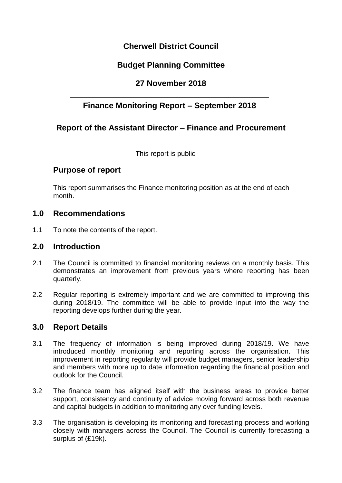## **Cherwell District Council**

# **Budget Planning Committee**

## **27 November 2018**

## **Finance Monitoring Report – September 2018**

### **Report of the Assistant Director – Finance and Procurement**

This report is public

### **Purpose of report**

This report summarises the Finance monitoring position as at the end of each month.

#### **1.0 Recommendations**

1.1 To note the contents of the report.

#### **2.0 Introduction**

- 2.1 The Council is committed to financial monitoring reviews on a monthly basis. This demonstrates an improvement from previous years where reporting has been quarterly.
- 2.2 Regular reporting is extremely important and we are committed to improving this during 2018/19. The committee will be able to provide input into the way the reporting develops further during the year.

### **3.0 Report Details**

- 3.1 The frequency of information is being improved during 2018/19. We have introduced monthly monitoring and reporting across the organisation. This improvement in reporting regularity will provide budget managers, senior leadership and members with more up to date information regarding the financial position and outlook for the Council.
- 3.2 The finance team has aligned itself with the business areas to provide better support, consistency and continuity of advice moving forward across both revenue and capital budgets in addition to monitoring any over funding levels.
- 3.3 The organisation is developing its monitoring and forecasting process and working closely with managers across the Council. The Council is currently forecasting a surplus of (£19k).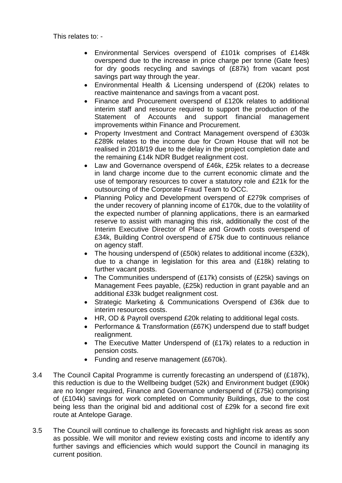This relates to: -

- Environmental Services overspend of £101k comprises of £148k overspend due to the increase in price charge per tonne (Gate fees) for dry goods recycling and savings of (£87k) from vacant post savings part way through the year.
- Environmental Health & Licensing underspend of (£20k) relates to reactive maintenance and savings from a vacant post.
- Finance and Procurement overspend of £120k relates to additional interim staff and resource required to support the production of the Statement of Accounts and support financial management improvements within Finance and Procurement.
- Property Investment and Contract Management overspend of £303k £289k relates to the income due for Crown House that will not be realised in 2018/19 due to the delay in the project completion date and the remaining £14k NDR Budget realignment cost.
- Law and Governance overspend of £46k, £25k relates to a decrease in land charge income due to the current economic climate and the use of temporary resources to cover a statutory role and £21k for the outsourcing of the Corporate Fraud Team to OCC.
- Planning Policy and Development overspend of £279k comprises of the under recovery of planning income of £170k, due to the volatility of the expected number of planning applications, there is an earmarked reserve to assist with managing this risk, additionally the cost of the Interim Executive Director of Place and Growth costs overspend of £34k, Building Control overspend of £75k due to continuous reliance on agency staff.
- The housing underspend of (£50k) relates to additional income (£32k), due to a change in legislation for this area and (£18k) relating to further vacant posts.
- The Communities underspend of (£17k) consists of (£25k) savings on Management Fees payable, (£25k) reduction in grant payable and an additional £33k budget realignment cost.
- Strategic Marketing & Communications Overspend of £36k due to interim resources costs.
- HR, OD & Payroll overspend £20k relating to additional legal costs.
- Performance & Transformation (£67K) underspend due to staff budget realignment.
- The Executive Matter Underspend of (£17k) relates to a reduction in pension costs.
- Funding and reserve management (£670k).
- 3.4 The Council Capital Programme is currently forecasting an underspend of (£187k), this reduction is due to the Wellbeing budget (52k) and Environment budget (£90k) are no longer required, Finance and Governance underspend of (£75k) comprising of (£104k) savings for work completed on Community Buildings, due to the cost being less than the original bid and additional cost of £29k for a second fire exit route at Antelope Garage.
- 3.5 The Council will continue to challenge its forecasts and highlight risk areas as soon as possible. We will monitor and review existing costs and income to identify any further savings and efficiencies which would support the Council in managing its current position.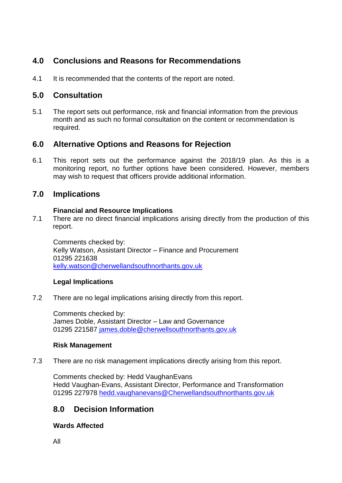# **4.0 Conclusions and Reasons for Recommendations**

4.1 It is recommended that the contents of the report are noted.

# **5.0 Consultation**

5.1 The report sets out performance, risk and financial information from the previous month and as such no formal consultation on the content or recommendation is required.

# **6.0 Alternative Options and Reasons for Rejection**

6.1 This report sets out the performance against the 2018/19 plan. As this is a monitoring report, no further options have been considered. However, members may wish to request that officers provide additional information.

# **7.0 Implications**

### **Financial and Resource Implications**

7.1 There are no direct financial implications arising directly from the production of this report.

Comments checked by: Kelly Watson, Assistant Director – Finance and Procurement 01295 221638 [kelly.watson@cherwellandsouthnorthants.gov.uk](mailto:kelly.watson@cherwellandsouthnorthants.gov.uk)

### **Legal Implications**

7.2 There are no legal implications arising directly from this report.

Comments checked by: James Doble, Assistant Director – Law and Governance 01295 221587 [james.doble@cherwellsouthnorthants.gov.uk](mailto:james.doble@cherwellsouthnorthants.gov.uk)

#### **Risk Management**

7.3 There are no risk management implications directly arising from this report.

Comments checked by: Hedd VaughanEvans Hedd Vaughan-Evans, Assistant Director, Performance and Transformation 01295 227978 [hedd.vaughanevans@Cherwellandsouthnorthants.gov.uk](mailto:hedd.vaughanevans@Cherwellandsouthnorthants.gov.uk)

# **8.0 Decision Information**

### **Wards Affected**